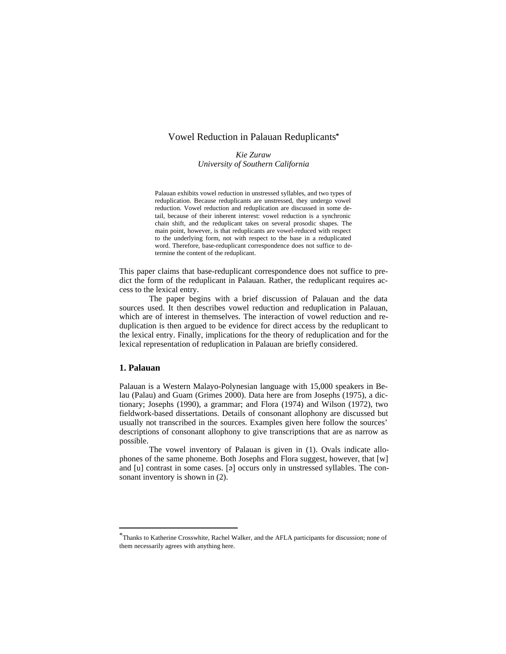# Vowel Reduction in Palauan Reduplicants**\***

*Kie Zuraw University of Southern California*

Palauan exhibits vowel reduction in unstressed syllables, and two types of reduplication. Because reduplicants are unstressed, they undergo vowel reduction. Vowel reduction and reduplication are discussed in some detail, because of their inherent interest: vowel reduction is a synchronic chain shift, and the reduplicant takes on several prosodic shapes. The main point, however, is that reduplicants are vowel-reduced with respect to the underlying form, not with respect to the base in a reduplicated word. Therefore, base-reduplicant correspondence does not suffice to determine the content of the reduplicant.

This paper claims that base-reduplicant correspondence does not suffice to predict the form of the reduplicant in Palauan. Rather, the reduplicant requires access to the lexical entry.

The paper begins with a brief discussion of Palauan and the data sources used. It then describes vowel reduction and reduplication in Palauan, which are of interest in themselves. The interaction of vowel reduction and reduplication is then argued to be evidence for direct access by the reduplicant to the lexical entry. Finally, implications for the theory of reduplication and for the lexical representation of reduplication in Palauan are briefly considered.

# **1. Palauan**

l

Palauan is a Western Malayo-Polynesian language with 15,000 speakers in Belau (Palau) and Guam (Grimes 2000). Data here are from Josephs (1975), a dictionary; Josephs (1990), a grammar; and Flora (1974) and Wilson (1972), two fieldwork-based dissertations. Details of consonant allophony are discussed but usually not transcribed in the sources. Examples given here follow the sources' descriptions of consonant allophony to give transcriptions that are as narrow as possible.

The vowel inventory of Palauan is given in (1). Ovals indicate allophones of the same phoneme. Both Josephs and Flora suggest, however, that [w] and [u] contrast in some cases.  $[\triangleleft]$  occurs only in unstressed syllables. The consonant inventory is shown in (2).

<sup>\*</sup>Thanks to Katherine Crosswhite, Rachel Walker, and the AFLA participants for discussion; none of them necessarily agrees with anything here.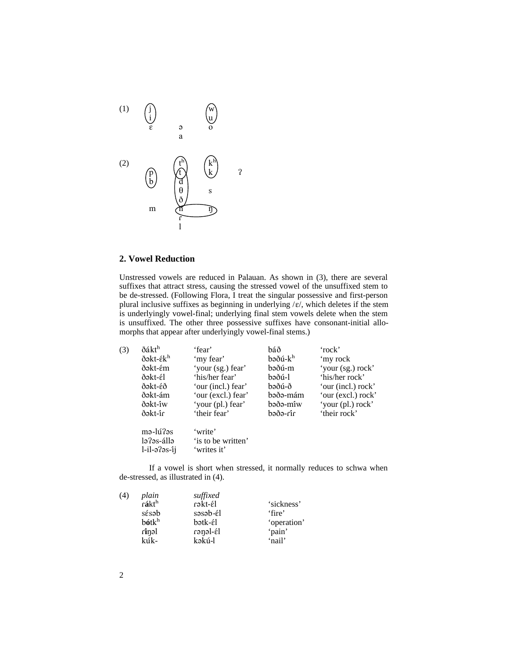

# **2. Vowel Reduction**

Unstressed vowels are reduced in Palauan. As shown in (3), there are several suffixes that attract stress, causing the stressed vowel of the unsuffixed stem to be de-stressed. (Following Flora, I treat the singular possessive and first-person plural inclusive suffixes as beginning in underlying  $/\varepsilon$ , which deletes if the stem is underlyingly vowel-final; underlying final stem vowels delete when the stem is unsuffixed. The other three possessive suffixes have consonant-initial allomorphs that appear after underlyingly vowel-final stems.)

| (3) | ðákt <sup>h</sup>    | 'fear'             | báð            | 'rock'             |
|-----|----------------------|--------------------|----------------|--------------------|
|     | ðəkt-ék <sup>h</sup> | 'my fear'          | $b$ əðú- $k^h$ | 'my rock           |
|     | ðəkt-ém              | 'your (sg.) fear'  | bəðú-m         | 'your (sg.) rock'  |
|     | ðəkt-él              | 'his/her fear'     | bəðú-l         | 'his/her rock'     |
|     | ðəkt-éð              | 'our (incl.) fear' | bəðú-ð         | 'our (incl.) rock' |
|     | ðəkt-ám              | 'our (excl.) fear' | bəðə-mám       | 'our (excl.) rock' |
|     | ðəkt-îw              | 'your (pl.) fear'  | bəðə-mîw       | 'your (pl.) rock'  |
|     | ðəkt-îr              | 'their fear'       | în-eðed        | 'their rock'       |
|     | mə-lú?əs             | 'write'            |                |                    |
|     | lə ?əs-állə          | 'is to be written' |                |                    |
|     | l-il-əʔəs-îi         | 'writes it'        |                |                    |
|     |                      |                    |                |                    |

If a vowel is short when stressed, it normally reduces to schwa when de-stressed, as illustrated in (4).

| (4) | plain                                 | suffixed |             |
|-----|---------------------------------------|----------|-------------|
|     | $\mathbf{\hat{r}$ ákt $^{\mathrm{h}}$ | rəkt-él  | 'sickness'  |
|     | sésab                                 | səsəb-él | 'fire'      |
|     | $b$ ót $kh$                           | bətk-él  | 'operation' |
|     | finəl                                 | fa-lenen | 'pain'      |
|     | kúk-                                  | kəkú-l   | 'nail'      |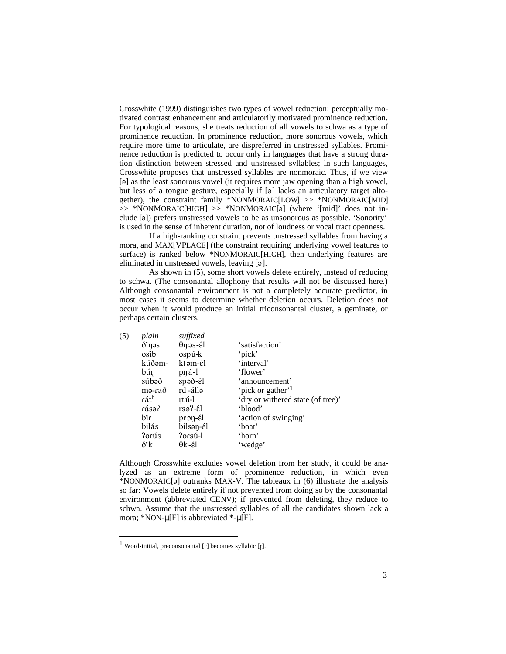Crosswhite (1999) distinguishes two types of vowel reduction: perceptually motivated contrast enhancement and articulatorily motivated prominence reduction. For typological reasons, she treats reduction of all vowels to schwa as a type of prominence reduction. In prominence reduction, more sonorous vowels, which require more time to articulate, are dispreferred in unstressed syllables. Prominence reduction is predicted to occur only in languages that have a strong duration distinction between stressed and unstressed syllables; in such languages, Crosswhite proposes that unstressed syllables are nonmoraic. Thus, if we view [a] as the least sonorous vowel (it requires more jaw opening than a high vowel, but less of a tongue gesture, especially if [a] lacks an articulatory target altogether), the constraint family \*NONMORAIC[LOW] >> \*NONMORAIC[MID]  $\gg$  \*NONMORAIC[HIGH]  $\gg$  \*NONMORAIC[a] (where '[mid]' does not include [´]) prefers unstressed vowels to be as unsonorous as possible. 'Sonority' is used in the sense of inherent duration, not of loudness or vocal tract openness.

If a high-ranking constraint prevents unstressed syllables from having a mora, and MAX[VPLACE] (the constraint requiring underlying vowel features to surface) is ranked below \*NONMORAIC[HIGH], then underlying features are eliminated in unstressed vowels, leaving [ $\sigma$ ].

As shown in (5), some short vowels delete entirely, instead of reducing to schwa. (The consonantal allophony that results will not be discussed here.) Although consonantal environment is not a completely accurate predictor, in most cases it seems to determine whether deletion occurs. Deletion does not occur when it would produce an initial triconsonantal cluster, a geminate, or perhaps certain clusters.

| (5) | plain  | suffixed               |                                   |
|-----|--------|------------------------|-----------------------------------|
|     | ðinəs  | $\theta$ n əs-él       | 'satisfaction'                    |
|     | osîb   | ospú-k                 | 'pick'                            |
|     | kúðəm- | kt əm-él               | 'interval'                        |
|     | búŋ    | pná-l                  | 'flower'                          |
|     | súbəð  | $spa\delta - \epsilon$ | 'announcement'                    |
|     | mə-rað | rd -állə               | 'pick or gather' <sup>1</sup>     |
|     | ráth   | rt ú-l                 | 'dry or withered state (of tree)' |
|     | fásə?  | $rs$ ə?- $\epsilon$ l  | 'blood'                           |
|     | bîr    | $pran-\'{e}l$          | 'action of swinging'              |
|     | bilás  | bilsən-él              | 'boat'                            |
|     | ?orús  | Porsú-l                | 'horn'                            |
|     | ðîk    | θk-έl                  | 'wedge'                           |

Although Crosswhite excludes vowel deletion from her study, it could be analyzed as an extreme form of prominence reduction, in which even  $*NONMORAIC[<sub>3</sub>]$  outranks MAX-V. The tableaux in (6) illustrate the analysis so far: Vowels delete entirely if not prevented from doing so by the consonantal environment (abbreviated CENV); if prevented from deleting, they reduce to schwa. Assume that the unstressed syllables of all the candidates shown lack a mora; \*NON- $\mu$  [F] is abbreviated \*- $\mu$  [F].

1

<sup>&</sup>lt;sup>1</sup> Word-initial, preconsonantal [r] becomes syllabic [r].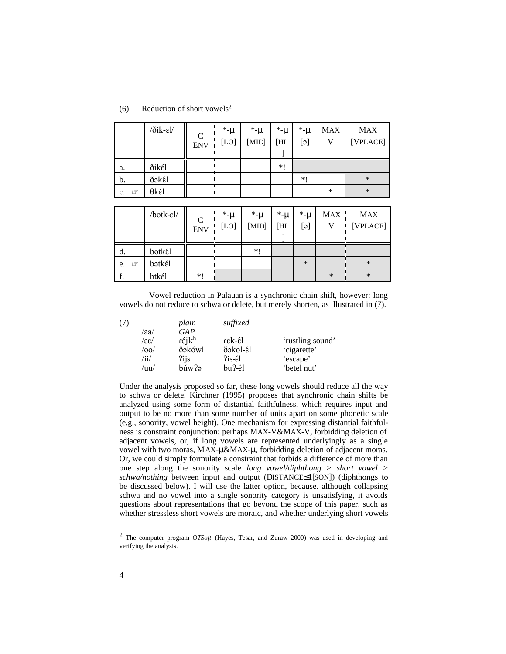| Reduction of short vowels <sup>2</sup><br>(6) |
|-----------------------------------------------|
|-----------------------------------------------|

|                          | $\delta$ ik- $\varepsilon$ l/ | $\mathsf{C}$<br><b>ENV</b> | *-µ<br>$[LO]$ | *-⊔<br>[MID] | *-µ<br>[HI | *-µ<br>$[\Theta]$ | <b>MAX</b> | MAX<br>[VPLACE] |
|--------------------------|-------------------------------|----------------------------|---------------|--------------|------------|-------------------|------------|-----------------|
| a.                       | ðikél                         |                            |               |              | $*1$       |                   |            |                 |
| b.                       | ðəkél                         |                            |               |              |            | $*1$              |            | $\ast$          |
| $\iff$<br>$\mathbf{c}$ . | θkέl                          |                            |               |              |            |                   | ∗          | $\ast$          |

|    | /botk-el/ | C<br><b>ENV</b> | *-µ<br>[LO] | *-u<br>[MID] | *-µ<br>[HI | *-µ<br>$[\Theta]$ | MAX .  | <b>MAX</b><br>[VPLACE] |
|----|-----------|-----------------|-------------|--------------|------------|-------------------|--------|------------------------|
| d. | botkél    |                 |             | $*1$         |            |                   |        |                        |
| e. | bətkél    |                 |             |              |            | $\ast$            |        | $\ast$                 |
|    | btkél     | $*1$            |             |              |            |                   | $\ast$ | $\ast$                 |

Vowel reduction in Palauan is a synchronic chain shift, however: long vowels do not reduce to schwa or delete, but merely shorten, as illustrated in (7).

|                           | plain                      | suffixed |                  |
|---------------------------|----------------------------|----------|------------------|
| /aa/                      | GAP                        |          |                  |
| $\left  \epsilon \right $ | $r \acute{\epsilon} j k^h$ | rek-él   | 'rustling sound' |
| /00/                      | ðəkówl                     | ðəkol-él | 'cigarette'      |
| /ii/                      | ?ijs                       | ?is-él   | 'escape'         |
| /uu/                      | búw?ə                      | bu?-él   | 'betel nut'      |
|                           |                            |          |                  |

Under the analysis proposed so far, these long vowels should reduce all the way to schwa or delete. Kirchner (1995) proposes that synchronic chain shifts be analyzed using some form of distantial faithfulness, which requires input and output to be no more than some number of units apart on some phonetic scale (e.g., sonority, vowel height). One mechanism for expressing distantial faithfulness is constraint conjunction: perhaps MAX-V&MAX-V, forbidding deletion of adjacent vowels, or, if long vowels are represented underlyingly as a single vowel with two moras, MAX-μ &MAX-μ , forbidding deletion of adjacent moras. Or, we could simply formulate a constraint that forbids a difference of more than one step along the sonority scale *long vowel/diphthong > short vowel > schwa/nothing* between input and output (DISTANCE 1[SON]) (diphthongs to be discussed below). I will use the latter option, because. although collapsing schwa and no vowel into a single sonority category is unsatisfying, it avoids questions about representations that go beyond the scope of this paper, such as whether stressless short vowels are moraic, and whether underlying short vowels

l

<sup>2</sup> The computer program *OTSoft* (Hayes, Tesar, and Zuraw 2000) was used in developing and verifying the analysis.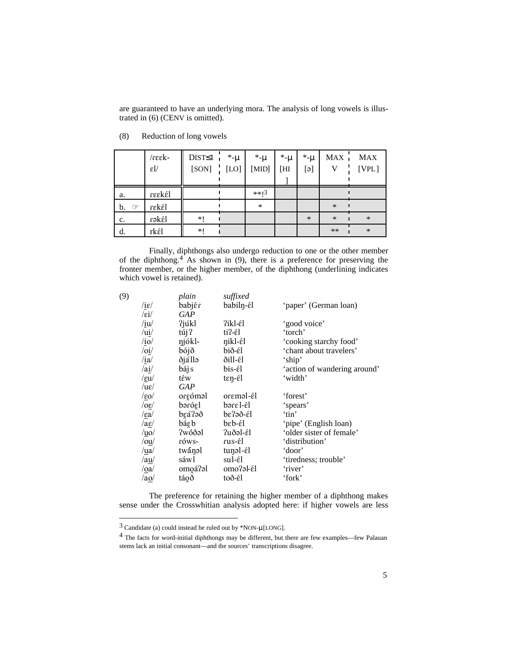are guaranteed to have an underlying mora. The analysis of long vowels is illustrated in (6) (CENV is omitted).

|                      | $\sqrt{\text{refk}}$<br>$\varepsilon$ $\!U$ | DIST 1<br>[SON] | $*$ -µ<br>[LO] | *-µ<br>[MID] | *-µ<br>[HI | *-µ<br>[ə] | MAX -<br>$\mathbf{V}$ | <b>MAX</b><br>[VPL] |
|----------------------|---------------------------------------------|-----------------|----------------|--------------|------------|------------|-----------------------|---------------------|
|                      |                                             |                 |                |              |            |            |                       |                     |
| a.                   | reekél                                      |                 |                | $**13$       |            |            |                       |                     |
| b.<br>$\circledcirc$ | rekél                                       |                 |                | $\ast$       |            |            | $\ast$                |                     |
| c.                   | rəkél                                       | $*!$            |                |              |            | $\ast$     | $\ast$                | $\ast$              |
| d.                   | rkél                                        | *!              |                |              |            |            | $**$                  | $\ast$              |

(8) Reduction of long vowels

Finally, diphthongs also undergo reduction to one or the other member of the diphthong. $4$  As shown in (9), there is a preference for preserving the fronter member, or the higher member, of the diphthong (underlining indicates which vowel is retained).

| (9) |                                     | plain      | suffixed  |                              |
|-----|-------------------------------------|------------|-----------|------------------------------|
|     | $\sqrt{1\epsilon}$                  | babjér     | babiln-él | 'paper' (German loan)        |
|     | /εi/                                | <b>GAP</b> |           |                              |
|     | /iu/                                | ?júkl      | ?ikl-él   | 'good voice'                 |
|     | /ui/                                | túj?       | ti?-él    | 'torch'                      |
|     | /io/                                | njókl-     | nikl-él   | 'cooking starchy food'       |
|     | $\overline{\overline{\mathrm{o}i}}$ | bójð       | bið-él    | 'chant about travelers'      |
|     | /ia/                                | ðjállə     | ðill-él   | 'ship'                       |
|     | /ai/                                | báj s      | bis-él    | 'action of wandering around' |
|     | $/$ εu $/$                          | tέw        | ten-él    | 'width'                      |
|     | /u $\varepsilon$ /                  | GAP        |           |                              |
|     | $/$ εο $/$                          | orgóməl    | oreməl-él | 'forest'                     |
|     | $\log$                              | bərógl     | bəre l-él | 'spears'                     |
|     | $/ \epsilon a/$                     | beá?oð     | be?əð-él  | 'tin'                        |
|     | $/ a \underline{\varepsilon}$       | báεb       | bεb-έl    | 'pipe' (English loan)        |
|     | $/\underline{\mathrm{uo}}$          | ?wóðəl     | ?uðəl-él  | 'older sister of female'     |
|     | $\sqrt{\text{ou}}$                  | róws-      | rus-él    | 'distribution'               |
|     | /ua/                                | twánol     | tunəl-él  | 'door'                       |
|     | /a <u>u</u> /                       | sáwl       | sul-él    | 'tiredness; trouble'         |
|     | $\sqrt{0a}$                         | omoá?al    | omo?al-él | 'river'                      |
|     | /a <sub>Q</sub>                     | táoð       | toð-él    | 'fork'                       |
|     |                                     |            |           |                              |

The preference for retaining the higher member of a diphthong makes sense under the Crosswhitian analysis adopted here: if higher vowels are less

l

 $3$  Candidate (a) could instead be ruled out by \*NON- $\mu$  [LONG].

<sup>4</sup> The facts for word-initial diphthongs may be different, but there are few examples—few Palauan stems lack an initial consonant—and the sources' transcriptions disagree.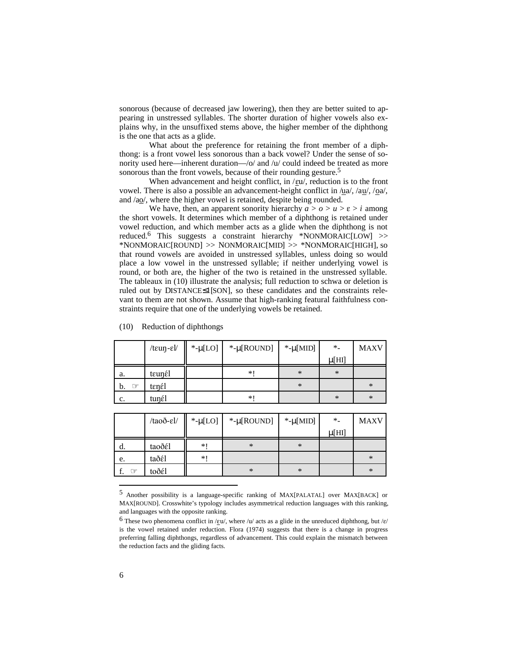sonorous (because of decreased jaw lowering), then they are better suited to appearing in unstressed syllables. The shorter duration of higher vowels also explains why, in the unsuffixed stems above, the higher member of the diphthong is the one that acts as a glide.

What about the preference for retaining the front member of a diphthong: is a front vowel less sonorous than a back vowel? Under the sense of sonority used here—inherent duration—/o/ and /u/ could indeed be treated as more sonorous than the front vowels, because of their rounding gesture.<sup>5</sup>

When advancement and height conflict, in  $/\text{eu}$ , reduction is to the front vowel. There is also a possible an advancement-height conflict in  $\alpha$  / $\alpha$  / $\alpha$ / $\alpha$ / $\alpha$ / $\alpha$ / $\alpha$ /, / $\alpha$ a/, and /ao/, where the higher vowel is retained, despite being rounded.

We have, then, an apparent sonority hierarchy  $a > 0 > u > \varepsilon > i$  among the short vowels. It determines which member of a diphthong is retained under vowel reduction, and which member acts as a glide when the diphthong is not reduced.6 This suggests a constraint hierarchy \*NONMORAIC[LOW] >> \*NONMORAIC[ROUND] >> NONMORAIC[MID] >> \*NONMORAIC[HIGH], so that round vowels are avoided in unstressed syllables, unless doing so would place a low vowel in the unstressed syllable; if neither underlying vowel is round, or both are, the higher of the two is retained in the unstressed syllable. The tableaux in (10) illustrate the analysis; full reduction to schwa or deletion is ruled out by DISTANCE 1[SON], so these candidates and the constraints relevant to them are not shown. Assume that high-ranking featural faithfulness constraints require that one of the underlying vowels be retained.

|                      | $/$ t $\epsilon$ uŋ- $\epsilon$ l/ | *- $\mu$ [LO] | *-µ $[ROUND]$ *-µ $[MID]$ |        | $*$        | <b>MAXV</b> |
|----------------------|------------------------------------|---------------|---------------------------|--------|------------|-------------|
|                      |                                    |               |                           |        | $\mu$ [HI] |             |
| a.                   | teunél                             |               | *                         | $\ast$ | $\ast$     |             |
| $\circledcirc$<br>b. | tenél                              |               |                           | $\ast$ |            | $\ast$      |
| c.                   | tunél                              |               | *1                        |        | $\ast$     | $\ast$      |

#### (10) Reduction of diphthongs

|                | /taoð-el/ | *- $\mu$ [LO] | $*$ -µ [ROUND] | *- $\mu$ [MID] | $*$        | <b>MAXV</b> |
|----------------|-----------|---------------|----------------|----------------|------------|-------------|
|                |           |               |                |                | $\mu$ [HI] |             |
| a.             | taoðél    | $*1$          | $\ast$         | $\ast$         |            |             |
| e.             | taðél     | $*1$          |                |                |            | $\ast$      |
| $\circledcirc$ | toðél     |               | $\ast$         | $\ast$         |            | $\ast$      |

<sup>5</sup> Another possibility is a language-specific ranking of MAX[PALATAL] over MAX[BACK] or MAX[ROUND]. Crosswhite's typology includes asymmetrical reduction languages with this ranking, and languages with the opposite ranking.

1

<sup>&</sup>lt;sup>6</sup> These two phenomena conflict in / $\epsilon u$ , where /u/ acts as a glide in the unreduced diphthong, but / $\epsilon$ / is the vowel retained under reduction. Flora (1974) suggests that there is a change in progress preferring falling diphthongs, regardless of advancement. This could explain the mismatch between the reduction facts and the gliding facts.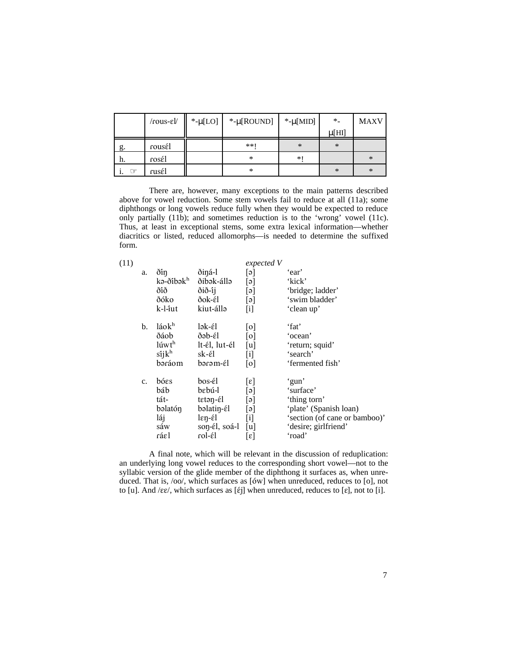|                      | $/rous$ - $\varepsilon$ ]/ | *- $\mu$ [LO] | *- $\mu$ [ROUND] | *- $\mu$ [MID] | $*$    | <b>MAXV</b> |
|----------------------|----------------------------|---------------|------------------|----------------|--------|-------------|
|                      |                            |               |                  |                | µ [HI] |             |
| g.                   | rousél                     |               | $**1$            | $\ast$         | $\ast$ |             |
| h.                   | rosél                      |               | *                | $*$            |        | $\ast$      |
| $\circledcirc$<br>1. | rusél                      |               | $\ast$           |                | $\ast$ | $\ast$      |

There are, however, many exceptions to the main patterns described above for vowel reduction. Some stem vowels fail to reduce at all (11a); some diphthongs or long vowels reduce fully when they would be expected to reduce only partially (11b); and sometimes reduction is to the 'wrong' vowel (11c). Thus, at least in exceptional stems, some extra lexical information—whether diacritics or listed, reduced allomorphs—is needed to determine the suffixed form.

| (11) |    |                       |                                             | expected V        |                               |
|------|----|-----------------------|---------------------------------------------|-------------------|-------------------------------|
|      | a. | ðin                   | ðiná-l                                      | [ə]               | 'ear'                         |
|      |    | kə-ðibək <sup>h</sup> | ðibək-állə                                  | [ə]               | 'kick'                        |
|      |    | ðîð                   | ðið-íj                                      | [ə]               | 'bridge; ladder'              |
|      |    | ðóko                  | ðok-él                                      | [ə]               | 'swim bladder'                |
|      |    | k-l-îut               | kiut-állə                                   | $\lceil i \rceil$ | 'clean up'                    |
|      | b. | láokh                 | lək-él                                      | [0]               | 'fat'                         |
|      |    | ðáob                  | ðəb-él                                      | $\lceil 0 \rceil$ | 'ocean'                       |
|      |    | lúwt <sup>h</sup>     | lt-él, lut-él                               | [u]               | 'return; squid'               |
|      |    | siik <sup>h</sup>     | sk-έl                                       | $[$               | 'search'                      |
|      |    | bəráom                | bərəm-él                                    | 0                 | 'fermented fish'              |
|      | c. | bóεs                  | bos-él                                      | $[\epsilon]$      | 'gun'                         |
|      |    | báb                   | bebú-l                                      | [ə]               | 'surface'                     |
|      |    | tát-                  | $t$ $\epsilon$ t $\epsilon$ n- $\epsilon$ l | [ə]               | 'thing torn'                  |
|      |    | bəlatón               | bəlatin-él                                  | [ə]               | 'plate' (Spanish loan)        |
|      |    | láj                   | $\operatorname{len-\'{e}l}$                 | [i]               | 'section (of cane or bamboo)' |
|      |    | sáw                   | son-él, soá-l                               | [u]               | 'desire; girlfriend'          |
|      |    | ráεl                  | rol-él                                      | $[\epsilon]$      | 'road'                        |
|      |    |                       |                                             |                   |                               |

A final note, which will be relevant in the discussion of reduplication: an underlying long vowel reduces to the corresponding short vowel—not to the syllabic version of the glide member of the diphthong it surfaces as, when unreduced. That is,  $/oo$ , which surfaces as  $[6w]$  when unreduced, reduces to  $[0]$ , not to [u]. And / $\epsilon \epsilon$ /, which surfaces as [ $\epsilon$ ] when unreduced, reduces to [ $\epsilon$ ], not to [i].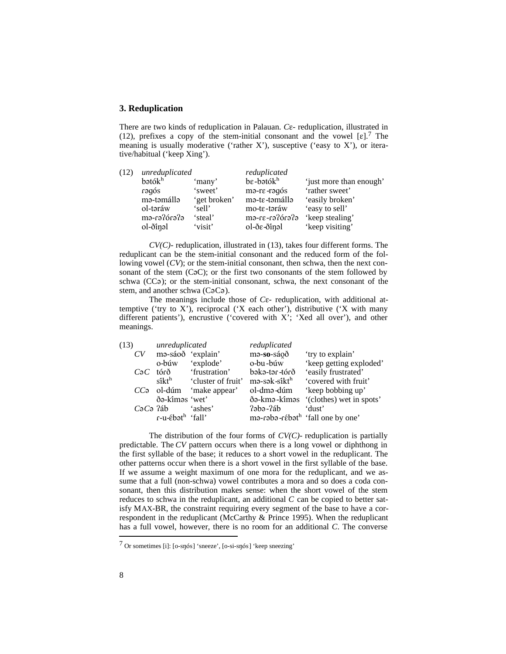# **3. Reduplication**

There are two kinds of reduplication in Palauan. *C*<sub>E</sub>- reduplication, illustrated in (12), prefixes a copy of the stem-initial consonant and the vowel  $[\epsilon]$ .<sup>7</sup> The meaning is usually moderative ('rather X'), susceptive ('easy to X'), or iterative/habitual ('keep Xing').

|              |              | reduplicated              |                                               |  |
|--------------|--------------|---------------------------|-----------------------------------------------|--|
| $b$ ətó $kh$ | 'many'       | $be$ -bətó $kh$           | 'just more than enough'                       |  |
| zòpen        | 'sweet'      | ma-re-ragós               | 'rather sweet'                                |  |
| mə-təmállə   | 'get broken' |                           | 'easily broken'                               |  |
| ol-təráw     | 'sell'       | mo-te-təráw               | 'easy to sell'                                |  |
| efenòfen-em  | 'steal'      | efenòfen-31-em            | 'keep stealing'                               |  |
|              |              |                           | 'keep visiting'                               |  |
|              | ol-ðinəl     | unreduplicated<br>'visit' | mə-te-təmállə<br>$ol$ -ð $\varepsilon$ -ðinəl |  |

*CV(C)-* reduplication, illustrated in (13), takes four different forms. The reduplicant can be the stem-initial consonant and the reduced form of the following vowel (*CV*); or the stem-initial consonant, then schwa, then the next consonant of the stem  $(C<sub>o</sub>C)$ ; or the first two consonants of the stem followed by schwa (CC $\phi$ ); or the stem-initial consonant, schwa, the next consonant of the stem, and another schwa  $(CoCo)$ .

The meanings include those of *C* $\varepsilon$ - reduplication, with additional attemptive ('try to X'), reciprocal ('X each other'), distributive ('X with many different patients'), encrustive ('covered with X'; 'Xed all over'), and other meanings.

| (13) |              | unreduplicated                     |                            | reduplicated             |                                                         |
|------|--------------|------------------------------------|----------------------------|--------------------------|---------------------------------------------------------|
|      | CV           | ma-sáoð 'explain'                  |                            | ma-so-sáoð               | 'try to explain'                                        |
|      |              | o-búw                              | 'explode'                  | o-bu-búw                 | 'keep getting exploded'                                 |
|      | $C_2C$       | tórð                               | 'frustration'              | órð- refedd              | 'easily frustrated'                                     |
|      |              | sîkt <sup>h</sup>                  | 'cluster of fruit'         | mə-sək-sîkt <sup>h</sup> | 'covered with fruit'                                    |
|      |              |                                    | $CC9$ ol-dúm 'make appear' | ol-dmə-dúm               | 'keep bobbing up'                                       |
|      |              | ðə-kiməs 'wet'                     |                            | ðə-kmə-kîməs             | '(clothes) wet in spots'                                |
|      | $C_2C_2$ ?áb |                                    | 'ashes'                    | $2$ aba- $2$ áb          | 'dust'                                                  |
|      |              | $r$ -u- $\epsilon$ bət $^h$ 'fall' |                            |                          | mə-rəbə-r $\epsilon$ bət <sup>h</sup> 'fall one by one' |
|      |              |                                    |                            |                          |                                                         |

The distribution of the four forms of *CV(C)-* reduplication is partially predictable. The *CV* pattern occurs when there is a long vowel or diphthong in the first syllable of the base; it reduces to a short vowel in the reduplicant. The other patterns occur when there is a short vowel in the first syllable of the base. If we assume a weight maximum of one mora for the reduplicant, and we assume that a full (non-schwa) vowel contributes a mora and so does a coda consonant, then this distribution makes sense: when the short vowel of the stem reduces to schwa in the reduplicant, an additional *C* can be copied to better satisfy MAX-BR, the constraint requiring every segment of the base to have a correspondent in the reduplicant (McCarthy & Prince 1995). When the reduplicant has a full vowel, however, there is no room for an additional *C*. The converse 1

 $7$  Or sometimes [i]: [o-snos] 'sneeze', [o-si-snos] 'keep sneezing'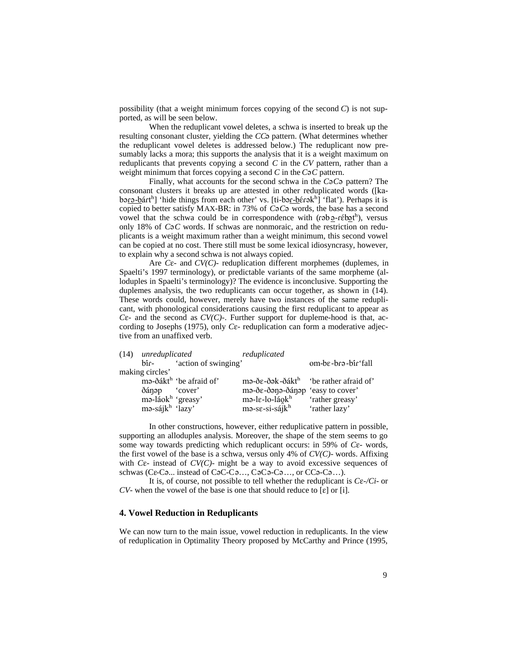possibility (that a weight minimum forces copying of the second *C*) is not supported, as will be seen below.

When the reduplicant vowel deletes, a schwa is inserted to break up the resulting consonant cluster, yielding the *CC*<sup>2</sup> pattern. (What determines whether the reduplicant vowel deletes is addressed below.) The reduplicant now presumably lacks a mora; this supports the analysis that it is a weight maximum on reduplicants that prevents copying a second *C* in the *CV* pattern, rather than a weight minimum that forces copying a second  $C$  in the  $C_2C$  pattern.

Finally, what accounts for the second schwa in the  $C_2C_2$  pattern? The consonant clusters it breaks up are attested in other reduplicated words ([kabə<u>rə-b</u>árt<sup>h</sup>] 'hide things from each other' vs. [ti-bər-bɛ́rəkh] 'flat'). Perhaps it is copied to better satisfy MAX-BR: in 73% of *C*<sub>2</sub>C<sub>2</sub> words, the base has a second vowel that the schwa could be in correspondence with (rab  $\frac{\partial^2}{\partial x^2}$ ), versus only 18% of  $C_2C$  words. If schwas are nonmoraic, and the restriction on reduplicants is a weight maximum rather than a weight minimum, this second vowel can be copied at no cost. There still must be some lexical idiosyncrasy, however, to explain why a second schwa is not always copied.

Are  $C_{\epsilon}$ - and  $CV(C)$ - reduplication different morphemes (duplemes, in Spaelti's 1997 terminology), or predictable variants of the same morpheme (alloduples in Spaelti's terminology)? The evidence is inconclusive. Supporting the duplemes analysis, the two reduplicants can occur together, as shown in (14). These words could, however, merely have two instances of the same reduplicant, with phonological considerations causing the first reduplicant to appear as  $C\epsilon$ - and the second as  $CV(C)$ -. Further support for dupleme-hood is that, according to Josephs (1975), only *C*E*-* reduplication can form a moderative adjective from an unaffixed verb.

| (14) unreduplicated           |                                     | reduplicated                                                                            |                    |
|-------------------------------|-------------------------------------|-----------------------------------------------------------------------------------------|--------------------|
| $bin -$                       | 'action of swinging'                |                                                                                         | om-be-brə-bir fall |
| making circles'               |                                     |                                                                                         |                    |
|                               | ma-ðákt <sup>h</sup> 'be afraid of' | mə- $\delta \varepsilon$ - $\delta$ ək- $\delta$ ákt <sup>h</sup> 'be rather afraid of' |                    |
| dánep cover                   |                                     | ma-δε-δana-δánap 'easy to cover'                                                        |                    |
| ma-láok <sup>h</sup> 'greasy' |                                     | mə-le-lo-láokh                                                                          | 'rather greasy'    |
| $m$ ə-sájk $^h$ 'lazy'        |                                     | $m$ ə-s $\varepsilon$ -si-sájk $h$                                                      | 'rather lazy'      |

In other constructions, however, either reduplicative pattern in possible, supporting an alloduples analysis. Moreover, the shape of the stem seems to go some way towards predicting which reduplicant occurs: in 59% of *C*E*-* words, the first vowel of the base is a schwa, versus only 4% of *CV(C)-* words. Affixing with  $C\epsilon$ - instead of  $CV(C)$ - might be a way to avoid excessive sequences of schwas ( $Ce-C<sub>9</sub>...$  instead of  $Ce-C<sub>9</sub>...$ ,  $Ce<sub>9</sub>C<sub>9</sub>...$  or  $CC<sub>9</sub>-C<sub>9</sub>...$ ).

It is, of course, not possible to tell whether the reduplicant is *C*E*-/Ci-* or *CV*- when the vowel of the base is one that should reduce to  $[\varepsilon]$  or  $[i]$ .

### **4. Vowel Reduction in Reduplicants**

We can now turn to the main issue, vowel reduction in reduplicants. In the view of reduplication in Optimality Theory proposed by McCarthy and Prince (1995,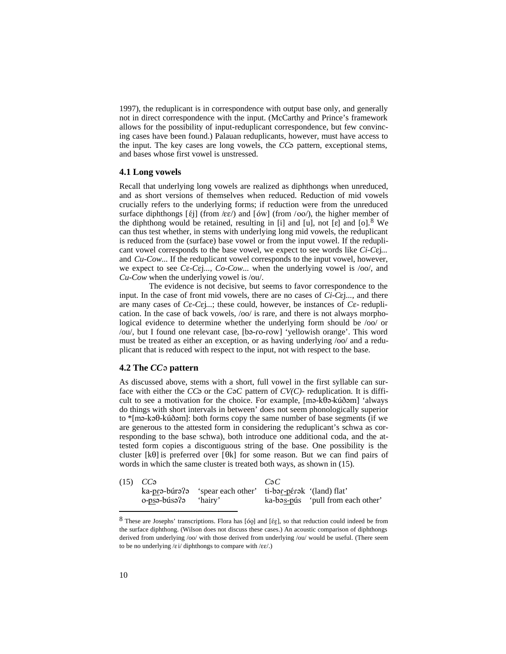1997), the reduplicant is in correspondence with output base only, and generally not in direct correspondence with the input. (McCarthy and Prince's framework allows for the possibility of input-reduplicant correspondence, but few convincing cases have been found.) Palauan reduplicants, however, must have access to the input. The key cases are long vowels, the *CC*<sup>2</sup> pattern, exceptional stems, and bases whose first vowel is unstressed.

#### **4.1 Long vowels**

Recall that underlying long vowels are realized as diphthongs when unreduced, and as short versions of themselves when reduced. Reduction of mid vowels crucially refers to the underlying forms; if reduction were from the unreduced surface diphthongs  $[\text{\textsterling}i]$  (from / $\text{\textsterling}e$ /) and  $[\text{\textsterling}i]$  (from /oo/), the higher member of the diphthong would be retained, resulting in [i] and [u], not [ɛ] and [o]. <sup>8</sup> We can thus test whether, in stems with underlying long mid vowels, the reduplicant is reduced from the (surface) base vowel or from the input vowel. If the reduplicant vowel corresponds to the base vowel, we expect to see words like *Ci-C* $\varepsilon$ j... and *Cu-Cow...* If the reduplicant vowel corresponds to the input vowel, however, we expect to see *C*E-*C*Ej..., *Co-Cow*... when the underlying vowel is /oo/, and *Cu-Cow* when the underlying vowel is /ou/.

The evidence is not decisive, but seems to favor correspondence to the input. In the case of front mid vowels, there are no cases of *Ci-C*Ej*...*, and there are many cases of  $C\epsilon$ - $C\epsilon$ *j...*; these could, however, be instances of  $C\epsilon$ -reduplication. In the case of back vowels, /oo/ is rare, and there is not always morphological evidence to determine whether the underlying form should be /oo/ or /ou/, but I found one relevant case, [ba-ro-row] 'yellowish orange'. This word must be treated as either an exception, or as having underlying /oo/ and a reduplicant that is reduced with respect to the input, not with respect to the base.

#### **4.2 The** *CC*´ **pattern**

As discussed above, stems with a short, full vowel in the first syllable can surface with either the *CC*<sup> $\circ$ </sup> or the *C* $\circ$ *C* pattern of *CV(C)*- reduplication. It is difficult to see a motivation for the choice. For example,  $[m- k\theta- k\theta\hat{\theta}]$  'always do things with short intervals in between' does not seem phonologically superior to  $*$ [mə-kə $\theta$ -kúðəm]: both forms copy the same number of base segments (if we are generous to the attested form in considering the reduplicant's schwa as corresponding to the base schwa), both introduce one additional coda, and the attested form copies a discontiguous string of the base. One possibility is the cluster  $[k0]$  is preferred over  $[0k]$  for some reason. But we can find pairs of words in which the same cluster is treated both ways, as shown in (15).

| $(15)$ $CC\vartheta$ |                                                           | CaC |                                   |  |
|----------------------|-----------------------------------------------------------|-----|-----------------------------------|--|
|                      | ka-prə-búrə? Spear each other' ti-bər-pérək '(land) flat' |     |                                   |  |
| o-psə-búsə?ə         | 'hairy'                                                   |     | ka-bəs-pús 'pull from each other' |  |
|                      |                                                           |     |                                   |  |

 $8$  These are Josephs' transcriptions. Flora has [óo̯] and [ɛ́ɛ̯], so that reduction could indeed be from the surface diphthong. (Wilson does not discuss these cases.) An acoustic comparison of diphthongs derived from underlying /oo/ with those derived from underlying /ou/ would be useful. (There seem to be no underlying  $/\varepsilon i$  diphthongs to compare with  $/\varepsilon \varepsilon$ .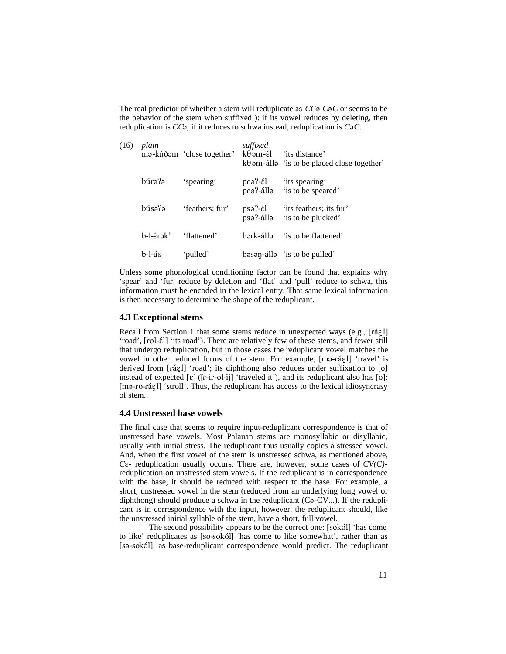The real predictor of whether a stem will reduplicate as *CC*<sup>2</sup> *C*<sup>2</sup>*C* or seems to be the behavior of the stem when suffixed ): if its vowel reduces by deleting, then reduplication is *CC* $\phi$ ; if it reduces to schwa instead, reduplication is *C* $\phi$ *C*.

| (16) | plain             | mə-kúðəm 'close together' | suffixed<br>$k\theta$ am-él        | 'its distance'<br>$k\theta$ am-álla 'is to be placed close together' |
|------|-------------------|---------------------------|------------------------------------|----------------------------------------------------------------------|
|      | búrə?ə            | 'spearing'                | $pr3$ - $\epsilon$ l<br>ellà-?e 1q | 'its spearing'<br>'is to be speared'                                 |
|      | búsə?ə            | 'feathers; fur'           | $ps3$ - $\epsilon$ l<br>psə?-állə  | 'its feathers; its fur'<br>'is to be plucked'                        |
|      | $b-1-f$ erək $^h$ | 'flattened'               | bərk-állə                          | 'is to be flattened'                                                 |
|      | $b$ -l-ús         | 'pulled'                  |                                    | basan-álla 'is to be pulled'                                         |

Unless some phonological conditioning factor can be found that explains why 'spear' and 'fur' reduce by deletion and 'flat' and 'pull' reduce to schwa, this information must be encoded in the lexical entry. That same lexical information is then necessary to determine the shape of the reduplicant.

#### **4.3 Exceptional stems**

Recall from Section 1 that some stems reduce in unexpected ways (e.g., [ráɛ̯l] 'road', [rol- $\epsilon$ l] 'its road'). There are relatively few of these stems, and fewer still that undergo reduplication, but in those cases the reduplicant vowel matches the vowel in other reduced forms of the stem. For example, [ma-ra $[$ el] 'travel' is derived from  $[r\acute{a}gl]$  'road'; its diphthong also reduces under suffixation to  $[o]$ instead of expected  $[\varepsilon]$  ( $[r-i\text{r-ol-1}]$  'traveled it'), and its reduplicant also has  $[\circ]$ : [ma-ro-ráɛ̯l] 'stroll'. Thus, the reduplicant has access to the lexical idiosyncrasy of stem.

### **4.4 Unstressed base vowels**

The final case that seems to require input-reduplicant correspondence is that of unstressed base vowels. Most Palauan stems are monosyllabic or disyllabic, usually with initial stress. The reduplicant thus usually copies a stressed vowel. And, when the first vowel of the stem is unstressed schwa, as mentioned above, *C*E*-* reduplication usually occurs. There are, however, some cases of *CV(C)* reduplication on unstressed stem vowels. If the reduplicant is in correspondence with the base, it should be reduced with respect to the base. For example, a short, unstressed vowel in the stem (reduced from an underlying long vowel or diphthong) should produce a schwa in the reduplicant  $(C_2-CV...)$ . If the reduplicant is in correspondence with the input, however, the reduplicant should, like the unstressed initial syllable of the stem, have a short, full vowel.

The second possibility appears to be the correct one: [sokól] 'has come to like' reduplicates as [so-sokól] 'has come to like somewhat', rather than as [sa-sokól], as base-reduplicant correspondence would predict. The reduplicant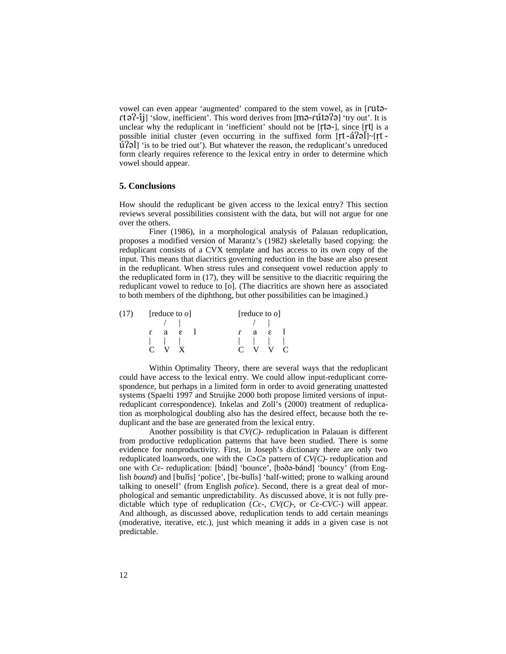vowel can even appear 'augmented' compared to the stem vowel, as in [rutort $\partial^2$ -ij] 'slow, inefficient'. This word derives from [m $\partial$ -rũt $\partial^2$ ] 'try out'. It is unclear why the reduplicant in 'inefficient' should not be  $[rt]$ -], since  $[rt]$  is a possible initial cluster (even occurring in the suffixed form  $[rt-*a*]$ <sup>2</sup>]<sup> $\sim$ </sup>[ $rt$  - $\hat{u}$ [20] 'is to be tried out'). But whatever the reason, the reduplicant's unreduced form clearly requires reference to the lexical entry in order to determine which vowel should appear.

#### **5. Conclusions**

How should the reduplicant be given access to the lexical entry? This section reviews several possibilities consistent with the data, but will not argue for one over the others.

Finer (1986), in a morphological analysis of Palauan reduplication, proposes a modified version of Marantz's (1982) skeletally based copying: the reduplicant consists of a CVX template and has access to its own copy of the input. This means that diacritics governing reduction in the base are also present in the reduplicant. When stress rules and consequent vowel reduction apply to the reduplicated form in (17), they will be sensitive to the diacritic requiring the reduplicant vowel to reduce to [o]. (The diacritics are shown here as associated to both members of the diphthong, but other possibilities can be imagined.)

| $(17)$ [reduce to $\varrho$ ] |                               |  | [reduce to $\varrho$ ] |  |                    |  |  |
|-------------------------------|-------------------------------|--|------------------------|--|--------------------|--|--|
|                               |                               |  |                        |  | $\frac{1}{2}$      |  |  |
|                               | $f$ a $g$                     |  |                        |  | $r$ a $\epsilon$ l |  |  |
|                               | $\mathbf{1}$ and $\mathbf{1}$ |  |                        |  |                    |  |  |
|                               | $C$ V X                       |  |                        |  | $C$ V V $C$        |  |  |

Within Optimality Theory, there are several ways that the reduplicant could have access to the lexical entry. We could allow input-reduplicant correspondence, but perhaps in a limited form in order to avoid generating unattested systems (Spaelti 1997 and Struijke 2000 both propose limited versions of inputreduplicant correspondence). Inkelas and Zoll's (2000) treatment of reduplication as morphological doubling also has the desired effect, because both the reduplicant and the base are generated from the lexical entry.

Another possibility is that *CV(C)-* reduplication in Palauan is different from productive reduplication patterns that have been studied. There is some evidence for nonproductivity. First, in Joseph's dictionary there are only two reduplicated loanwords, one with the  $C_2C_2$  pattern of  $CV(C)$ - reduplication and one with *Cε*- reduplication: [bánd] 'bounce', [bəðə-bánd] 'bouncy' (from English *bound*) and [bulis] 'police', [be-bulis] 'half-witted; prone to walking around talking to oneself' (from English *police*). Second, there is a great deal of morphological and semantic unpredictability. As discussed above, it is not fully predictable which type of reduplication ( $C\epsilon$ -,  $CV(C)$ -, or  $C\epsilon$ - $CVC$ -) will appear. And although, as discussed above, reduplication tends to add certain meanings (moderative, iterative, etc.), just which meaning it adds in a given case is not predictable.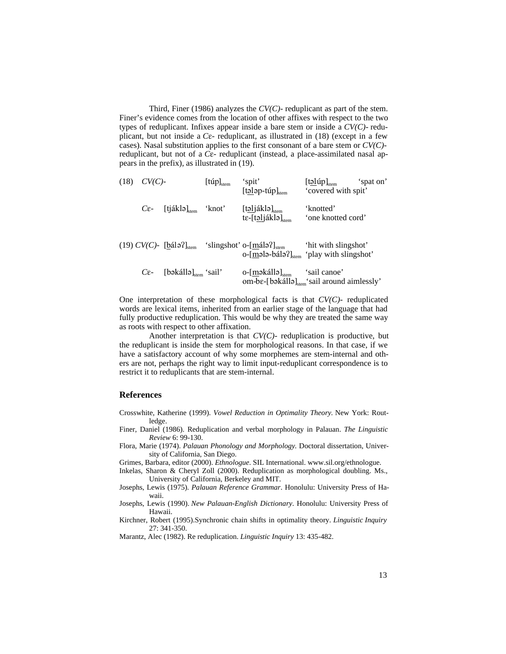Third, Finer (1986) analyzes the *CV(C)-* reduplicant as part of the stem. Finer's evidence comes from the location of other affixes with respect to the two types of reduplicant. Infixes appear inside a bare stem or inside a *CV(C)-* reduplicant, but not inside a  $C\epsilon$ - reduplicant, as illustrated in (18) (except in a few cases). Nasal substitution applies to the first consonant of a bare stem or *CV(C)* reduplicant, but not of a  $C_{\epsilon}$ - reduplicant (instead, a place-assimilated nasal appears in the prefix), as illustrated in (19).

| (18) | $CV(C)$ -        |                                                     | $[\mathfrak{t}\mathfrak{u}p]_{\mathrm{stem}}$ | 'spit'<br>$[\text{tolop-túp]stem]$                                      | $[\text{t}$ <u>əl</u> úp] <sub>stem</sub><br>'spat on'<br>'covered with spit'       |
|------|------------------|-----------------------------------------------------|-----------------------------------------------|-------------------------------------------------------------------------|-------------------------------------------------------------------------------------|
|      | $C_{\epsilon}$ - | $[tjáklə]_{\text{stem}}$                            | 'knot'                                        | $[t$ əljáklə $]_{\text{stem}}$<br>$t\epsilon$ -[təljáklə] $_{\rm stem}$ | 'knotted'<br>'one knotted cord'                                                     |
|      |                  | $(19)$ CV(C) - [bálə?] <sub>stem</sub>              |                                               | 'slingshot' o- $[\text{málə}]\text{H}_{\text{stem}}$                    | 'hit with slingshot'<br>o- $[ma]$ ə-bálə $T_{\text{temp}}$ 'play with slingshot'    |
|      | $C_{\epsilon}$ - | $\lceil \text{bəkállə} \rceil_{\text{stem}}$ 'sail' |                                               | o- $[m\rightarrow k\hat{a}l]_{\text{stem}}$                             | 'sail canoe'<br>om-b $\varepsilon$ -[bəkállə] $_{\rm stem}$ 'sail around aimlessly' |

One interpretation of these morphological facts is that *CV(C)-* reduplicated words are lexical items, inherited from an earlier stage of the language that had fully productive reduplication. This would be why they are treated the same way as roots with respect to other affixation.

Another interpretation is that *CV(C)-* reduplication is productive, but the reduplicant is inside the stem for morphological reasons. In that case, if we have a satisfactory account of why some morphemes are stem-internal and others are not, perhaps the right way to limit input-reduplicant correspondence is to restrict it to reduplicants that are stem-internal.

### **References**

- Crosswhite, Katherine (1999). *Vowel Reduction in Optimality Theory.* New York: Routledge.
- Finer, Daniel (1986). Reduplication and verbal morphology in Palauan. *The Linguistic Review* 6: 99-130.
- Flora, Marie (1974). *Palauan Phonology and Morphology.* Doctoral dissertation, University of California, San Diego.
- Grimes, Barbara, editor (2000). *Ethnologue*. SIL International. www.sil.org/ethnologue.
- Inkelas, Sharon & Cheryl Zoll (2000). Reduplication as morphological doubling. Ms.,
	- University of California, Berkeley and MIT.
- Josephs, Lewis (1975). *Palauan Reference Grammar*. Honolulu: University Press of Hawaii.
- Josephs, Lewis (1990). *New Palauan-English Dictionary*. Honolulu: University Press of Hawaii.
- Kirchner, Robert (1995).Synchronic chain shifts in optimality theory. *Linguistic Inquiry* 27: 341-350.
- Marantz, Alec (1982). Re reduplication. *Linguistic Inquiry* 13: 435-482.